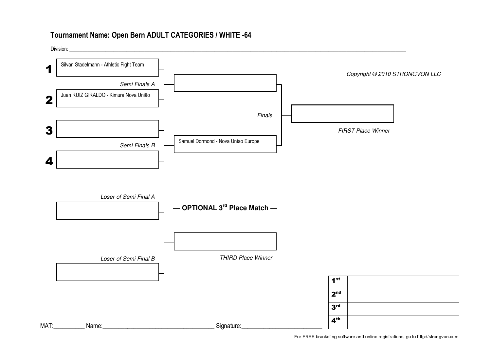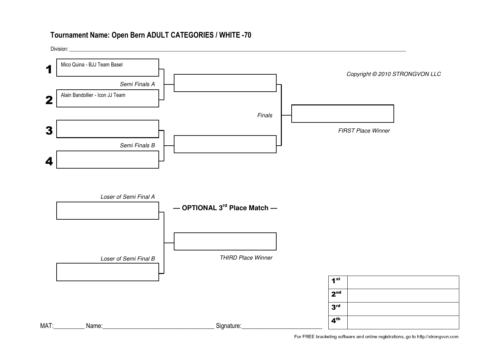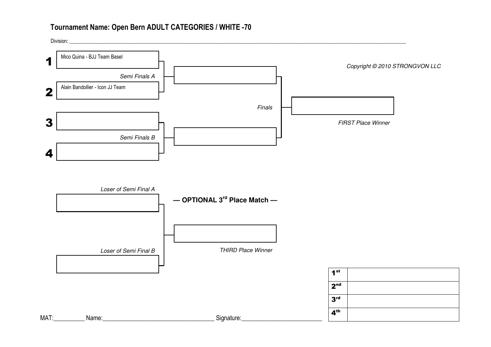

4th

MAT:\_\_\_\_\_\_\_\_\_\_ Name:\_\_\_\_\_\_\_\_\_\_\_\_\_\_\_\_\_\_\_\_\_\_\_\_\_\_\_\_\_\_\_\_\_\_\_\_ Signature:\_\_\_\_\_\_\_\_\_\_\_\_\_\_\_\_\_\_\_\_\_\_\_\_\_\_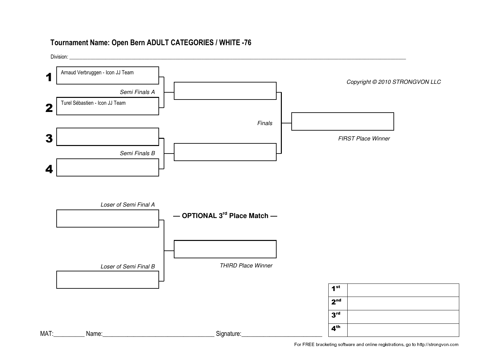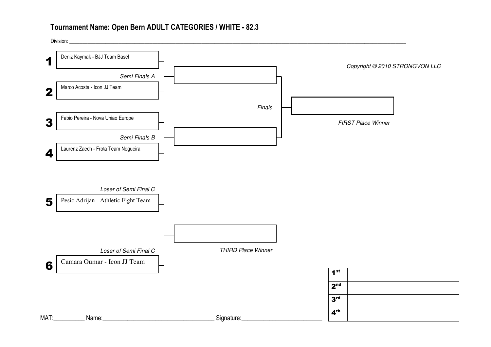Semi Finals A Semi Finals B Division: \_\_\_\_\_\_\_\_\_\_\_\_\_\_\_\_\_\_\_\_\_\_\_\_\_\_\_\_\_\_\_\_\_\_\_\_\_\_\_\_\_\_\_\_\_\_\_\_\_\_\_\_\_\_\_\_\_\_\_\_\_\_\_\_\_\_\_\_\_\_\_\_\_\_\_\_\_\_\_\_\_\_\_\_\_\_\_\_\_\_\_\_\_\_\_\_\_\_\_\_\_\_\_\_\_\_\_\_\_\_\_\_\_\_\_\_\_\_\_\_\_\_\_\_\_\_\_\_\_\_Deniz Kaymak - BJJ Team Basel Marco Acosta - Icon JJ TeamFabio Pereira - Nova Uniao EuropeLaurenz Zaech - Frota Team Nogueira1234Copyright © 2010 STRONGVON LLC1st 2nd 3rd 4th Loser of Semi Final C Loser of Semi Final C Pesic Adrijan - Athletic Fight Team Camara Oumar - Icon JJ Team THIRD Place Winner Finals FIRST Place Winner 56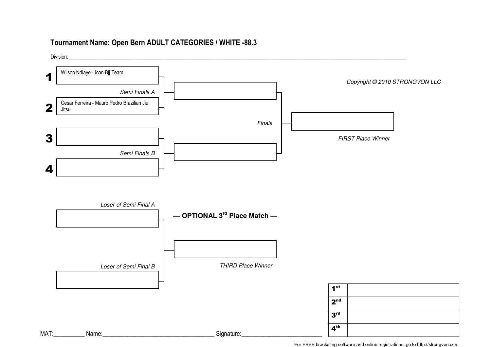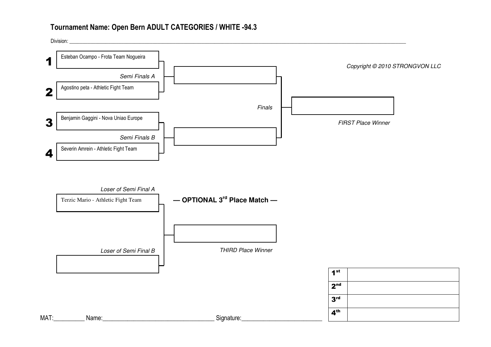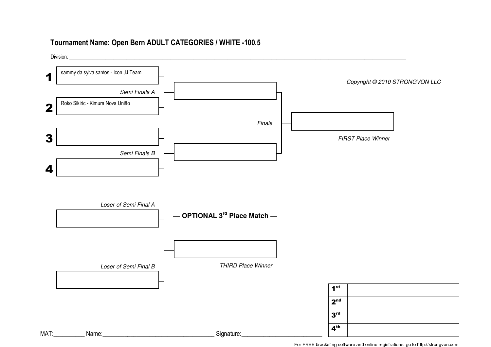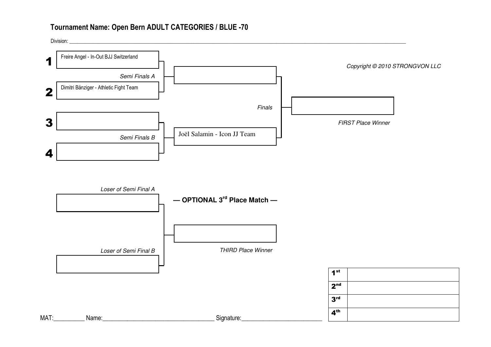

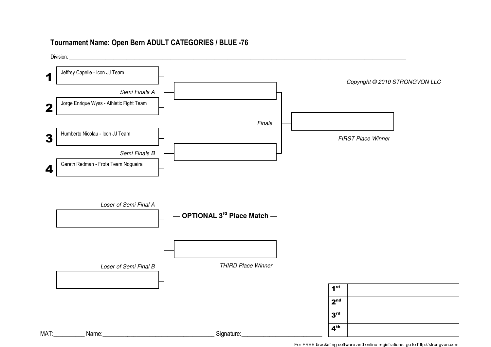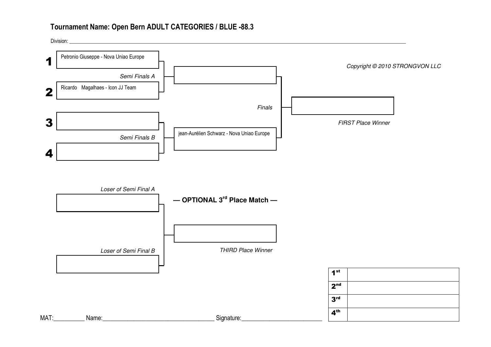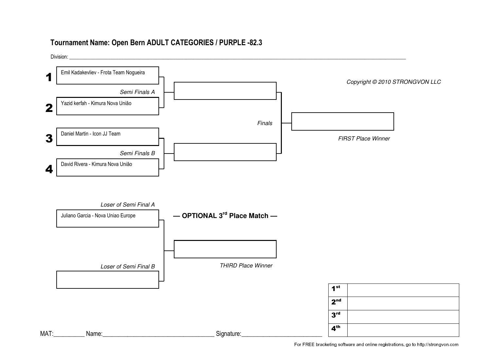# **Tournament Name: Open Bern ADULT CATEGORIES / PURPLE -82.3**

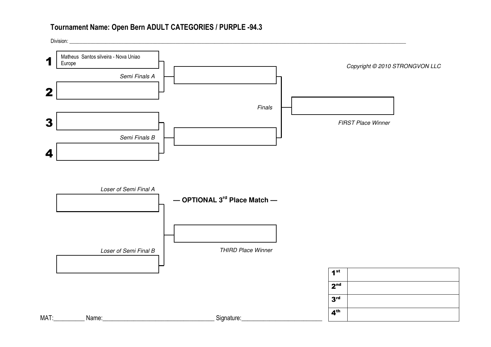# **Tournament Name: Open Bern ADULT CATEGORIES / PURPLE -94.3**

MAT:\_\_\_\_\_\_\_\_\_\_ Name:\_\_\_\_\_\_\_\_\_\_\_\_\_\_\_\_\_\_\_\_\_\_\_\_\_\_\_\_\_\_\_\_\_\_\_\_ Signature:\_\_\_\_\_\_\_\_\_\_\_\_\_\_\_\_\_\_\_\_\_\_\_\_\_\_

Semi Finals A Semi Finals B Division: \_\_\_\_\_\_\_\_\_\_\_\_\_\_\_\_\_\_\_\_\_\_\_\_\_\_\_\_\_\_\_\_\_\_\_\_\_\_\_\_\_\_\_\_\_\_\_\_\_\_\_\_\_\_\_\_\_\_\_\_\_\_\_\_\_\_\_\_\_\_\_\_\_\_\_\_\_\_\_\_\_\_\_\_\_\_\_\_\_\_\_\_\_\_\_\_\_\_\_\_\_\_\_\_\_\_\_\_\_\_\_\_\_\_\_\_\_\_\_\_\_\_\_\_\_\_\_\_\_\_**Matheus Santos silveira - Nova Uniao**<br>**1** Europe Europe 234Copyright © 2010 STRONGVON LLC1st 2nd 3rd 4th **— OPTIONAL 3rd Place Match —** Loser of Semi Final B Loser of Semi Final A THIRD Place Winner Finals FIRST Place Winner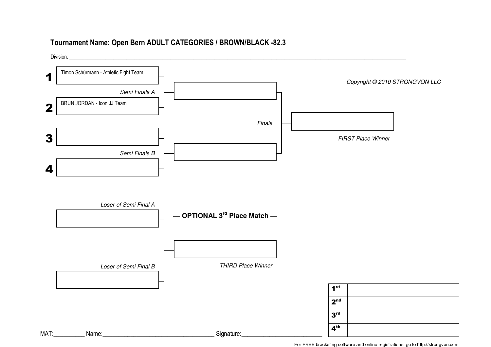### **Tournament Name: Open Bern ADULT CATEGORIES / BROWN/BLACK -82.3**

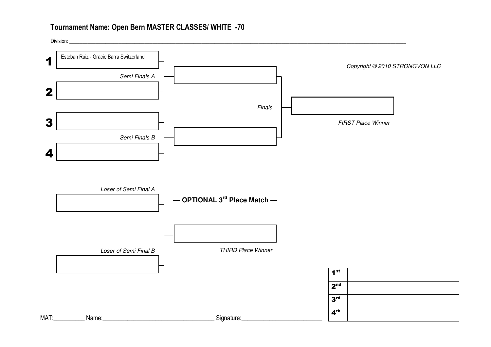# **Tournament Name: Open Bern MASTER CLASSES/ WHITE -70**

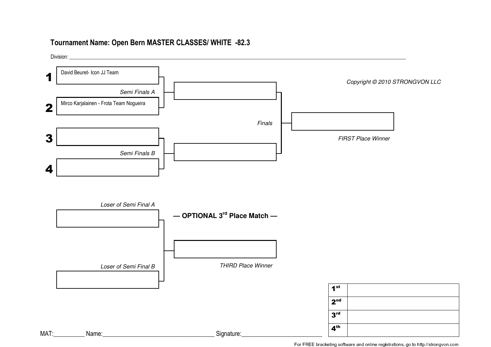### **Tournament Name: Open Bern MASTER CLASSES/ WHITE -82.3**

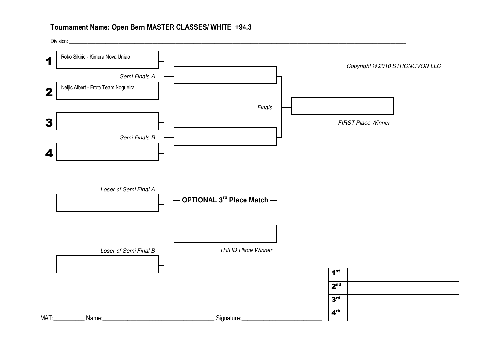## **Tournament Name: Open Bern MASTER CLASSES/ WHITE +94.3**

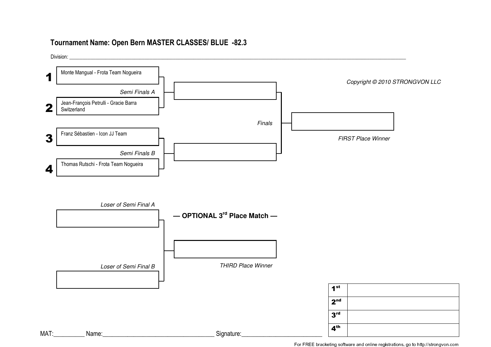### **Tournament Name: Open Bern MASTER CLASSES/ BLUE -82.3**

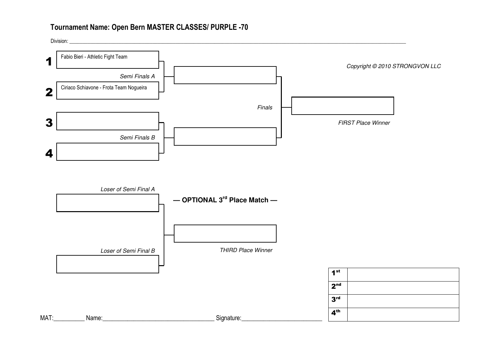## **Tournament Name: Open Bern MASTER CLASSES/ PURPLE -70**

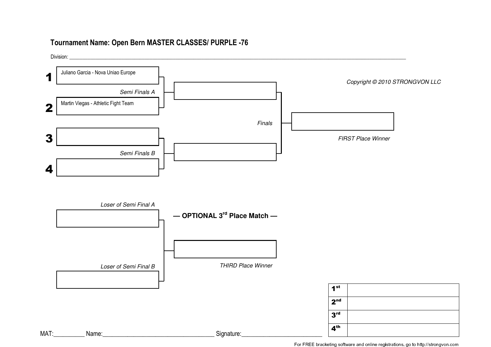### **Tournament Name: Open Bern MASTER CLASSES/ PURPLE -76**

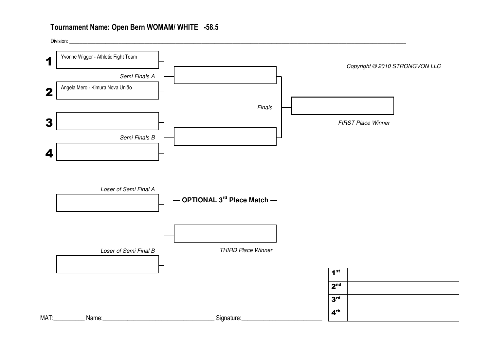## **Tournament Name: Open Bern WOMAM/ WHITE -58.5**

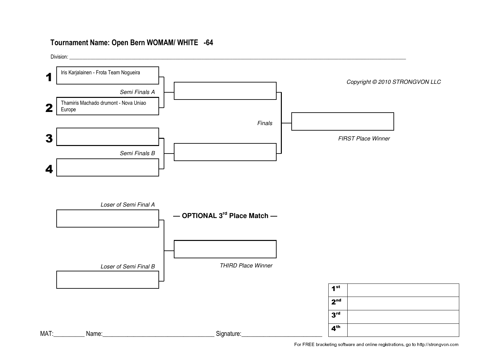## **Tournament Name: Open Bern WOMAM/ WHITE -64**

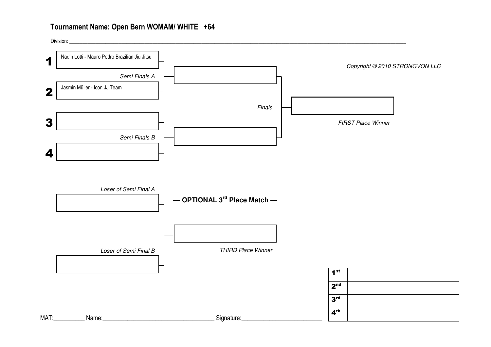# **Tournament Name: Open Bern WOMAM/ WHITE +64**

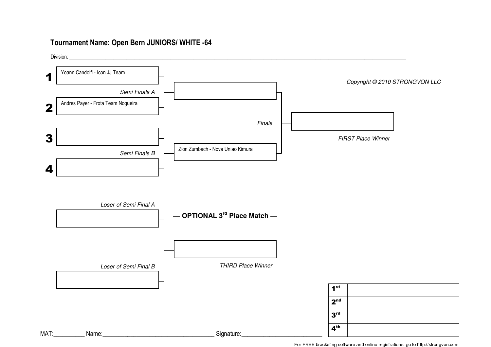#### **Tournament Name: Open Bern JUNIORS/ WHITE -64**

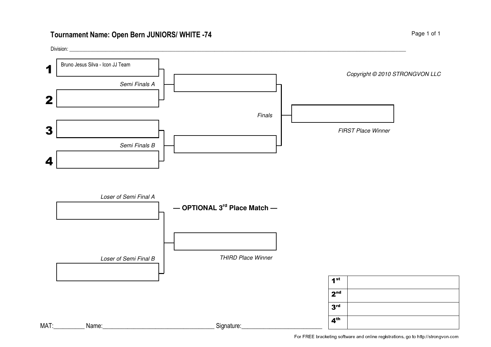# **Tournament Name: Open Bern JUNIORS/ WHITE -74**

Division: \_\_\_\_\_\_\_\_\_\_\_\_\_\_\_\_\_\_\_\_\_\_\_\_\_\_\_\_\_\_\_\_\_\_\_\_\_\_\_\_\_\_\_\_\_\_\_\_\_\_\_\_\_\_\_\_\_\_\_\_\_\_\_\_\_\_\_\_\_\_\_\_\_\_\_\_\_\_\_\_\_\_\_\_\_\_\_\_\_\_\_\_\_\_\_\_\_\_\_\_\_\_\_\_\_\_\_\_\_\_\_\_\_\_\_\_\_\_\_\_\_\_\_\_\_\_\_\_\_\_

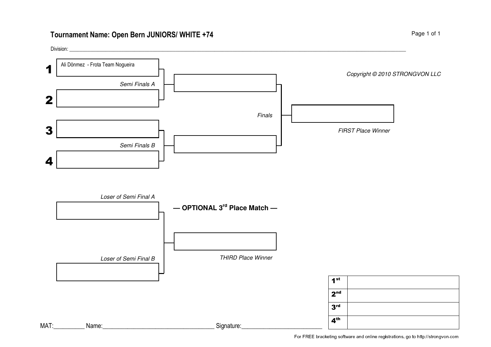# **Tournament Name: Open Bern JUNIORS/ WHITE +74**

Division: \_\_\_\_\_\_\_\_\_\_\_\_\_\_\_\_\_\_\_\_\_\_\_\_\_\_\_\_\_\_\_\_\_\_\_\_\_\_\_\_\_\_\_\_\_\_\_\_\_\_\_\_\_\_\_\_\_\_\_\_\_\_\_\_\_\_\_\_\_\_\_\_\_\_\_\_\_\_\_\_\_\_\_\_\_\_\_\_\_\_\_\_\_\_\_\_\_\_\_\_\_\_\_\_\_\_\_\_\_\_\_\_\_\_\_\_\_\_\_\_\_\_\_\_\_\_\_\_\_\_

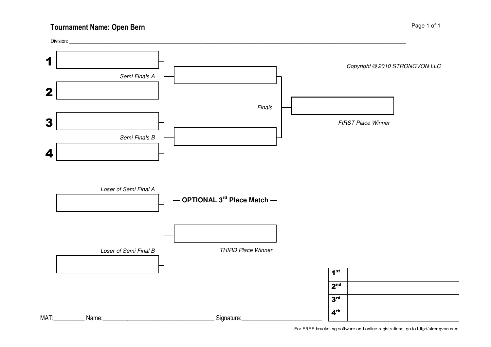## **Tournament Name: Open Bern**